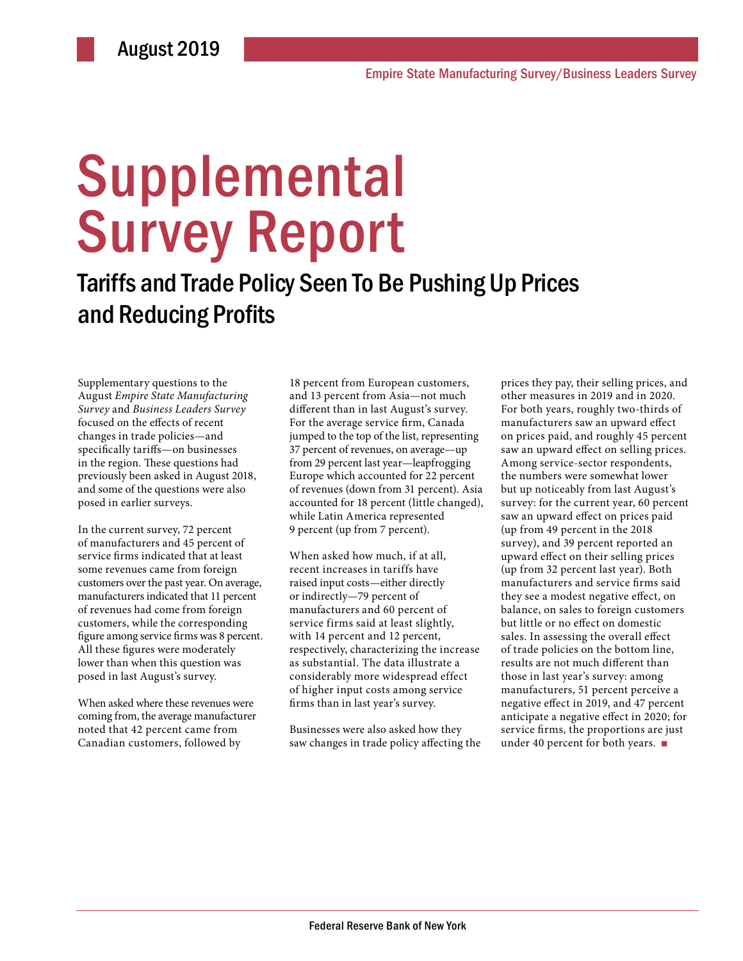# **Supplemental** Survey Report

## Tariffs and Trade Policy Seen To Be Pushing Up Prices and Reducing Profits

Supplementary questions to the August *Empire State Manufacturing Survey* and *Business Leaders Survey*  focused on the effects of recent changes in trade policies—and specifically tariffs—on businesses in the region. These questions had previously been asked in August 2018, and some of the questions were also posed in earlier surveys.

In the current survey, 72 percent of manufacturers and 45 percent of service firms indicated that at least some revenues came from foreign customers over the past year. On average, manufacturers indicated that 11 percent of revenues had come from foreign customers, while the corresponding figure among service firms was 8 percent. All these figures were moderately lower than when this question was posed in last August's survey.

When asked where these revenues were coming from, the average manufacturer noted that 42 percent came from Canadian customers, followed by

18 percent from European customers, and 13 percent from Asia—not much different than in last August's survey. For the average service firm, Canada jumped to the top of the list, representing 37 percent of revenues, on average—up from 29 percent last year—leapfrogging Europe which accounted for 22 percent of revenues (down from 31 percent). Asia accounted for 18 percent (little changed), while Latin America represented 9 percent (up from 7 percent).

When asked how much, if at all, recent increases in tariffs have raised input costs—either directly or indirectly—79 percent of manufacturers and 60 percent of service firms said at least slightly, with 14 percent and 12 percent, respectively, characterizing the increase as substantial. The data illustrate a considerably more widespread effect of higher input costs among service firms than in last year's survey.

Businesses were also asked how they saw changes in trade policy affecting the

prices they pay, their selling prices, and other measures in 2019 and in 2020. For both years, roughly two-thirds of manufacturers saw an upward effect on prices paid, and roughly 45 percent saw an upward effect on selling prices. Among service-sector respondents, the numbers were somewhat lower but up noticeably from last August's survey: for the current year, 60 percent saw an upward effect on prices paid (up from 49 percent in the 2018 survey), and 39 percent reported an upward effect on their selling prices (up from 32 percent last year). Both manufacturers and service firms said they see a modest negative effect, on balance, on sales to foreign customers but little or no effect on domestic sales. In assessing the overall effect of trade policies on the bottom line, results are not much different than those in last year's survey: among manufacturers, 51 percent perceive a negative effect in 2019, and 47 percent anticipate a negative effect in 2020; for service firms, the proportions are just under 40 percent for both years.  $\blacksquare$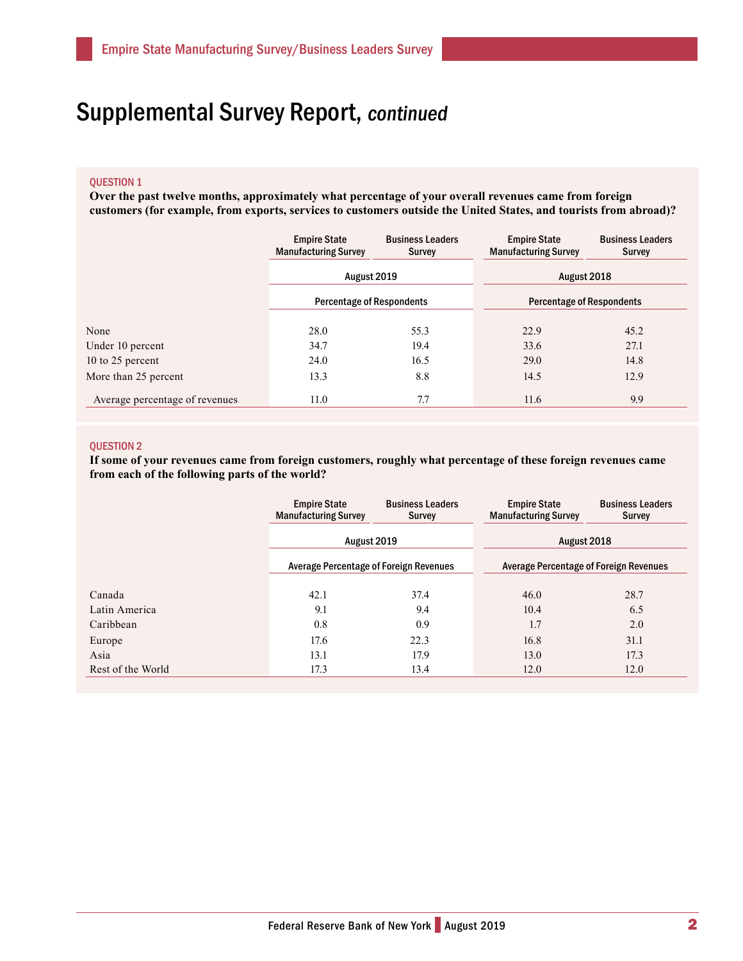## Supplemental Survey Report, continued

#### QUESTION 1

**Over the past twelve months, approximately what percentage of your overall revenues came from foreign customers (for example, from exports, services to customers outside the United States, and tourists from abroad)?**

|                                | <b>Empire State</b><br><b>Manufacturing Survey</b> | <b>Business Leaders</b><br>Survey | <b>Empire State</b><br><b>Manufacturing Survey</b> | <b>Business Leaders</b><br><b>Survey</b> |  |
|--------------------------------|----------------------------------------------------|-----------------------------------|----------------------------------------------------|------------------------------------------|--|
|                                | August 2019<br><b>Percentage of Respondents</b>    |                                   | August 2018                                        |                                          |  |
|                                |                                                    |                                   | <b>Percentage of Respondents</b>                   |                                          |  |
| None                           | 28.0                                               | 55.3                              | 22.9                                               | 45.2                                     |  |
| Under 10 percent               | 34.7                                               | 19.4                              | 33.6                                               | 27.1                                     |  |
| 10 to 25 percent               | 24.0                                               | 16.5                              | 29.0                                               | 14.8                                     |  |
| More than 25 percent           | 13.3                                               | 8.8                               | 14.5                                               | 12.9                                     |  |
| Average percentage of revenues | 11.0                                               | 7.7                               | 11.6                                               | 9.9                                      |  |

#### QUESTION 2

**If some of your revenues came from foreign customers, roughly what percentage of these foreign revenues came from each of the following parts of the world?**

|                   | <b>Empire State</b><br><b>Manufacturing Survey</b>    | <b>Business Leaders</b><br>Survey | <b>Empire State</b><br><b>Manufacturing Survey</b>    | <b>Business Leaders</b><br>Survey |  |
|-------------------|-------------------------------------------------------|-----------------------------------|-------------------------------------------------------|-----------------------------------|--|
|                   | August 2019<br>Average Percentage of Foreign Revenues |                                   | August 2018<br>Average Percentage of Foreign Revenues |                                   |  |
|                   |                                                       |                                   |                                                       |                                   |  |
| Canada            | 42.1                                                  | 37.4                              | 46.0                                                  | 28.7                              |  |
| Latin America     | 9.1                                                   | 9.4                               | 10.4                                                  | 6.5                               |  |
| Caribbean         | 0.8                                                   | 0.9                               | 1.7                                                   | 2.0                               |  |
| Europe            | 17.6                                                  | 22.3                              | 16.8                                                  | 31.1                              |  |
| Asia              | 13.1                                                  | 17.9                              | 13.0                                                  | 17.3                              |  |
| Rest of the World | 17.3                                                  | 13.4                              | 12.0                                                  | 12.0                              |  |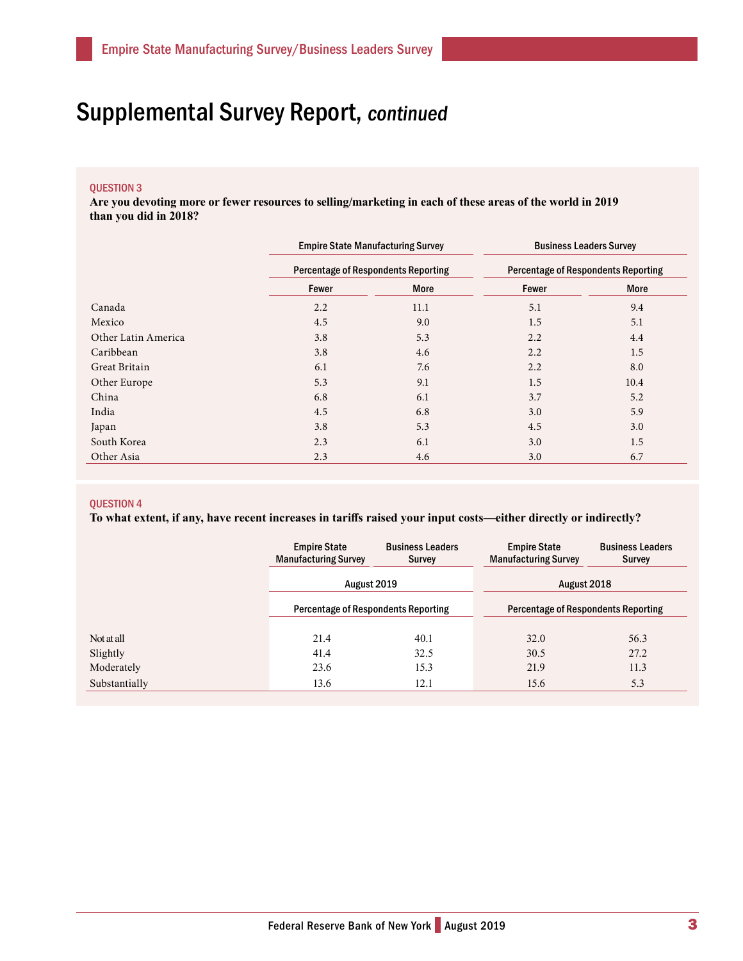## Supplemental Survey Report, continued

#### QUESTION 3

**Are you devoting more or fewer resources to selling/marketing in each of these areas of the world in 2019 than you did in 2018?** 

|                     | <b>Empire State Manufacturing Survey</b> |                                            | <b>Business Leaders Survey</b> |                                            |  |  |
|---------------------|------------------------------------------|--------------------------------------------|--------------------------------|--------------------------------------------|--|--|
|                     |                                          | <b>Percentage of Respondents Reporting</b> |                                | <b>Percentage of Respondents Reporting</b> |  |  |
|                     | Fewer                                    | <b>More</b>                                | Fewer                          | <b>More</b>                                |  |  |
| Canada              | 2.2                                      | 11.1                                       | 5.1                            | 9.4                                        |  |  |
| Mexico              | 4.5                                      | 9.0                                        | 1.5                            | 5.1                                        |  |  |
| Other Latin America | 3.8                                      | 5.3                                        | 2.2                            | 4.4                                        |  |  |
| Caribbean           | 3.8                                      | 4.6                                        | 2.2                            | 1.5                                        |  |  |
| Great Britain       | 6.1                                      | 7.6                                        | 2.2                            | 8.0                                        |  |  |
| Other Europe        | 5.3                                      | 9.1                                        | 1.5                            | 10.4                                       |  |  |
| China               | 6.8                                      | 6.1                                        | 3.7                            | 5.2                                        |  |  |
| India               | 4.5                                      | 6.8                                        | 3.0                            | 5.9                                        |  |  |
| Japan               | 3.8                                      | 5.3                                        | 4.5                            | 3.0                                        |  |  |
| South Korea         | 2.3                                      | 6.1                                        | 3.0                            | 1.5                                        |  |  |
| Other Asia          | 2.3                                      | 4.6                                        | 3.0                            | 6.7                                        |  |  |

#### QUESTION 4

**To what extent, if any, have recent increases in tariffs raised your input costs—either directly or indirectly?**

|               | <b>Empire State</b><br><b>Manufacturing Survey</b>        | <b>Business Leaders</b><br>Survey | <b>Empire State</b><br><b>Manufacturing Survey</b> | <b>Business Leaders</b><br>Survey |  |
|---------------|-----------------------------------------------------------|-----------------------------------|----------------------------------------------------|-----------------------------------|--|
|               | August 2019<br><b>Percentage of Respondents Reporting</b> |                                   | August 2018                                        |                                   |  |
|               |                                                           |                                   | <b>Percentage of Respondents Reporting</b>         |                                   |  |
| Not at all    | 21.4<br>40.1                                              |                                   | 32.0                                               | 56.3                              |  |
| Slightly      | 41.4                                                      | 32.5                              | 30.5                                               | 27.2                              |  |
| Moderately    | 23.6                                                      | 15.3                              | 21.9                                               | 11.3                              |  |
| Substantially | 13.6                                                      | 12.1                              | 15.6                                               | 5.3                               |  |